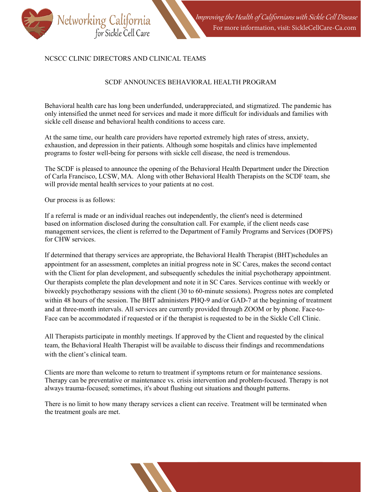

## NCSCC CLINIC DIRECTORS AND CLINICAL TEAMS

## SCDF ANNOUNCES BEHAVIORAL HEALTH PROGRAM

Behavioral health care has long been underfunded, underappreciated, and stigmatized. The pandemic has only intensified the unmet need for services and made it more difficult for individuals and families with sickle cell disease and behavioral health conditions to access care.

At the same time, our health care providers have reported extremely high rates of stress, anxiety, exhaustion, and depression in their patients. Although some hospitals and clinics have implemented programs to foster well-being for persons with sickle cell disease, the need is tremendous.

The SCDF is pleased to announce the opening of the Behavioral Health Department under the Direction of Carla Francisco, LCSW, MA. Along with other Behavioral Health Therapists on the SCDF team, she will provide mental health services to your patients at no cost.

Our process is as follows:

If a referral is made or an individual reaches out independently, the client's need is determined based on information disclosed during the consultation call. For example, if the client needs case management services, the client is referred to the Department of Family Programs and Services (DOFPS) for CHW services.

If determined that therapy services are appropriate, the Behavioral Health Therapist (BHT)schedules an appointment for an assessment, completes an initial progress note in SC Cares, makes the second contact with the Client for plan development, and subsequently schedules the initial psychotherapy appointment. Our therapists complete the plan development and note it in SC Cares. Services continue with weekly or biweekly psychotherapy sessions with the client (30 to 60-minute sessions). Progress notes are completed within 48 hours of the session. The BHT administers PHQ-9 and/or GAD-7 at the beginning of treatment and at three-month intervals. All services are currently provided through ZOOM or by phone. Face-to-Face can be accommodated if requested or if the therapist is requested to be in the Sickle Cell Clinic.

All Therapists participate in monthly meetings. If approved by the Client and requested by the clinical team, the Behavioral Health Therapist will be available to discuss their findings and recommendations with the client's clinical team.

Clients are more than welcome to return to treatment if symptoms return or for maintenance sessions. Therapy can be preventative or maintenance vs. crisis intervention and problem-focused. Therapy is not always trauma-focused; sometimes, it's about flushing out situations and thought patterns.

There is no limit to how many therapy services a client can receive. Treatment will be terminated when the treatment goals are met.